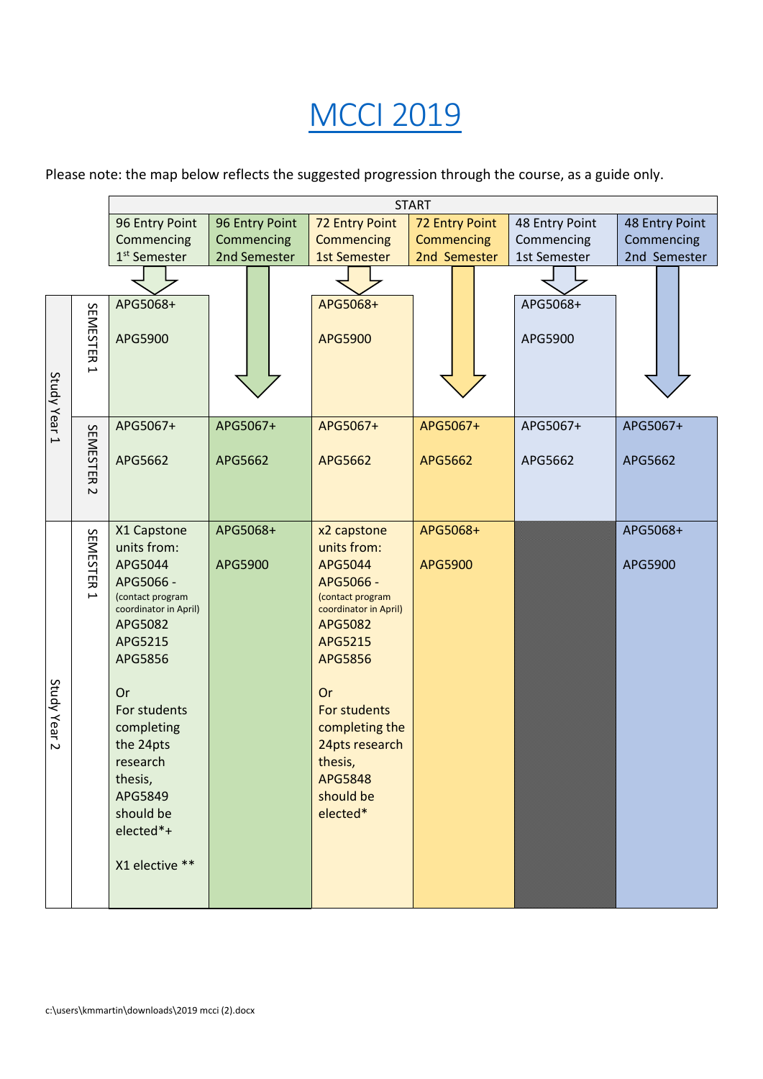## [MCCI](https://www.monash.edu/pubs/2019handbooks/courses/A6004.html) 2019

Please note: the map below reflects the suggested progression through the course, as a guide only.

|                                                      | <b>START</b>                                                                                                                                                                                                                                                    |                     |                                                                                                                                                                                                                                                         |                     |                     |                     |  |  |
|------------------------------------------------------|-----------------------------------------------------------------------------------------------------------------------------------------------------------------------------------------------------------------------------------------------------------------|---------------------|---------------------------------------------------------------------------------------------------------------------------------------------------------------------------------------------------------------------------------------------------------|---------------------|---------------------|---------------------|--|--|
|                                                      | 96 Entry Point                                                                                                                                                                                                                                                  | 96 Entry Point      | <b>72 Entry Point</b>                                                                                                                                                                                                                                   | 72 Entry Point      | 48 Entry Point      | 48 Entry Point      |  |  |
|                                                      | Commencing                                                                                                                                                                                                                                                      | Commencing          | Commencing                                                                                                                                                                                                                                              | Commencing          | Commencing          | Commencing          |  |  |
|                                                      | 1 <sup>st</sup> Semester                                                                                                                                                                                                                                        | 2nd Semester        | <b>1st Semester</b>                                                                                                                                                                                                                                     | 2nd Semester        | 1st Semester        | 2nd Semester        |  |  |
|                                                      |                                                                                                                                                                                                                                                                 |                     |                                                                                                                                                                                                                                                         |                     |                     |                     |  |  |
| SEMESTER<br>$\overline{\phantom{0}}$<br>Study Year 1 | APG5068+<br>APG5900                                                                                                                                                                                                                                             |                     | APG5068+<br>APG5900                                                                                                                                                                                                                                     |                     | APG5068+<br>APG5900 |                     |  |  |
| SEMESTER<br>$\sim$                                   | APG5067+<br>APG5662                                                                                                                                                                                                                                             | APG5067+<br>APG5662 | APG5067+<br>APG5662                                                                                                                                                                                                                                     | APG5067+<br>APG5662 | APG5067+<br>APG5662 | APG5067+<br>APG5662 |  |  |
| SEMESTER<br>$\overline{\phantom{0}}$<br>Study Year 2 | X1 Capstone<br>units from:<br>APG5044<br>APG5066 -<br>(contact program<br>coordinator in April)<br>APG5082<br>APG5215<br>APG5856<br>Or<br>For students<br>completing<br>the 24pts<br>research<br>thesis,<br>APG5849<br>should be<br>elected*+<br>X1 elective ** | APG5068+<br>APG5900 | x2 capstone<br>units from:<br>APG5044<br>APG5066 -<br>(contact program<br>coordinator in April)<br><b>APG5082</b><br>APG5215<br>APG5856<br>Or<br>For students<br>completing the<br>24pts research<br>thesis,<br><b>APG5848</b><br>should be<br>elected* | APG5068+<br>APG5900 |                     | APG5068+<br>APG5900 |  |  |